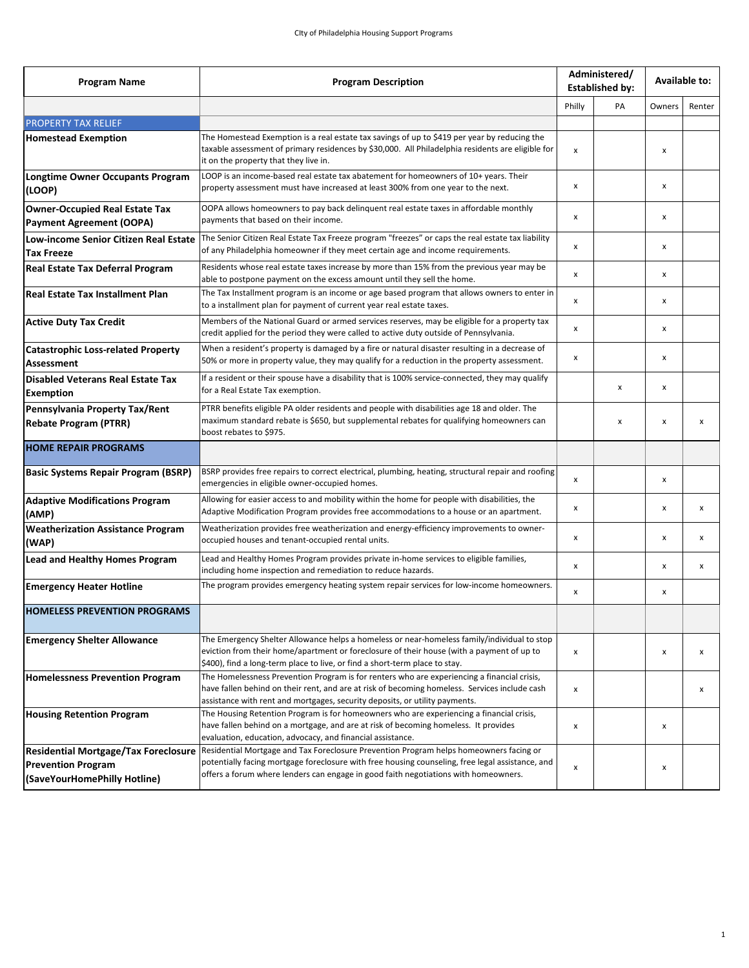| <b>Program Name</b>                                                                                      | <b>Program Description</b>                                                                                                                                                                                                                                                        | Administered/<br><b>Established by:</b> |    | Available to: |              |
|----------------------------------------------------------------------------------------------------------|-----------------------------------------------------------------------------------------------------------------------------------------------------------------------------------------------------------------------------------------------------------------------------------|-----------------------------------------|----|---------------|--------------|
|                                                                                                          |                                                                                                                                                                                                                                                                                   |                                         | PA | Owners        | Renter       |
| <b>PROPERTY TAX RELIEF</b>                                                                               |                                                                                                                                                                                                                                                                                   |                                         |    |               |              |
| <b>Homestead Exemption</b>                                                                               | The Homestead Exemption is a real estate tax savings of up to \$419 per year by reducing the<br>taxable assessment of primary residences by \$30,000. All Philadelphia residents are eligible for<br>it on the property that they live in.                                        |                                         |    | x             |              |
| Longtime Owner Occupants Program<br>(LOOP)                                                               | LOOP is an income-based real estate tax abatement for homeowners of 10+ years. Their<br>property assessment must have increased at least 300% from one year to the next.                                                                                                          |                                         |    | x             |              |
| Owner-Occupied Real Estate Tax<br>Payment Agreement (OOPA)                                               | OOPA allows homeowners to pay back delinquent real estate taxes in affordable monthly<br>payments that based on their income.                                                                                                                                                     |                                         |    | x             |              |
| Low-income Senior Citizen Real Estate<br><b>Tax Freeze</b>                                               | The Senior Citizen Real Estate Tax Freeze program "freezes" or caps the real estate tax liability<br>of any Philadelphia homeowner if they meet certain age and income requirements.                                                                                              | x                                       |    | x             |              |
| Real Estate Tax Deferral Program                                                                         | Residents whose real estate taxes increase by more than 15% from the previous year may be<br>able to postpone payment on the excess amount until they sell the home.                                                                                                              |                                         |    | x             |              |
| <b>Real Estate Tax Installment Plan</b>                                                                  | The Tax Installment program is an income or age based program that allows owners to enter in<br>to a installment plan for payment of current year real estate taxes.                                                                                                              |                                         |    | x             |              |
| <b>Active Duty Tax Credit</b>                                                                            | Members of the National Guard or armed services reserves, may be eligible for a property tax<br>credit applied for the period they were called to active duty outside of Pennsylvania.                                                                                            |                                         |    | x             |              |
| <b>Catastrophic Loss-related Property</b><br>Assessment                                                  | When a resident's property is damaged by a fire or natural disaster resulting in a decrease of<br>50% or more in property value, they may qualify for a reduction in the property assessment.                                                                                     |                                         |    | x             |              |
| <b>Disabled Veterans Real Estate Tax</b><br><b>Exemption</b>                                             | If a resident or their spouse have a disability that is 100% service-connected, they may qualify<br>for a Real Estate Tax exemption.                                                                                                                                              |                                         | x  | x             |              |
| Pennsylvania Property Tax/Rent<br><b>Rebate Program (PTRR)</b>                                           | PTRR benefits eligible PA older residents and people with disabilities age 18 and older. The<br>maximum standard rebate is \$650, but supplemental rebates for qualifying homeowners can<br>boost rebates to \$975.                                                               |                                         | x  | x             | x            |
| <b>HOME REPAIR PROGRAMS</b>                                                                              |                                                                                                                                                                                                                                                                                   |                                         |    |               |              |
| <b>Basic Systems Repair Program (BSRP)</b>                                                               | BSRP provides free repairs to correct electrical, plumbing, heating, structural repair and roofing<br>emergencies in eligible owner-occupied homes.                                                                                                                               | x                                       |    | x             |              |
| <b>Adaptive Modifications Program</b><br>(AMP)                                                           | Allowing for easier access to and mobility within the home for people with disabilities, the<br>Adaptive Modification Program provides free accommodations to a house or an apartment.                                                                                            |                                         |    | x             | $\mathsf{x}$ |
| <b>Weatherization Assistance Program</b><br>(WAP)                                                        | Weatherization provides free weatherization and energy-efficiency improvements to owner-<br>occupied houses and tenant-occupied rental units.                                                                                                                                     |                                         |    | x             | x            |
| Lead and Healthy Homes Program                                                                           | Lead and Healthy Homes Program provides private in-home services to eligible families,<br>including home inspection and remediation to reduce hazards.                                                                                                                            |                                         |    | x             | x            |
| <b>Emergency Heater Hotline</b>                                                                          | The program provides emergency heating system repair services for low-income homeowners.                                                                                                                                                                                          | x                                       |    | x             |              |
| <b>HOMELESS PREVENTION PROGRAMS</b>                                                                      |                                                                                                                                                                                                                                                                                   |                                         |    |               |              |
| <b>Emergency Shelter Allowance</b>                                                                       | The Emergency Shelter Allowance helps a homeless or near-homeless family/individual to stop<br>eviction from their home/apartment or foreclosure of their house (with a payment of up to<br>\$400), find a long-term place to live, or find a short-term place to stay.           |                                         |    | x             | x            |
| <b>Homelessness Prevention Program</b>                                                                   | The Homelessness Prevention Program is for renters who are experiencing a financial crisis,<br>have fallen behind on their rent, and are at risk of becoming homeless. Services include cash<br>assistance with rent and mortgages, security deposits, or utility payments.       |                                         |    |               | x            |
| <b>Housing Retention Program</b>                                                                         | The Housing Retention Program is for homeowners who are experiencing a financial crisis,<br>have fallen behind on a mortgage, and are at risk of becoming homeless. It provides<br>evaluation, education, advocacy, and financial assistance.                                     |                                         |    | x             |              |
| <b>Residential Mortgage/Tax Foreclosure</b><br><b>Prevention Program</b><br>(SaveYourHomePhilly Hotline) | Residential Mortgage and Tax Foreclosure Prevention Program helps homeowners facing or<br>potentially facing mortgage foreclosure with free housing counseling, free legal assistance, and<br>offers a forum where lenders can engage in good faith negotiations with homeowners. |                                         |    | x             |              |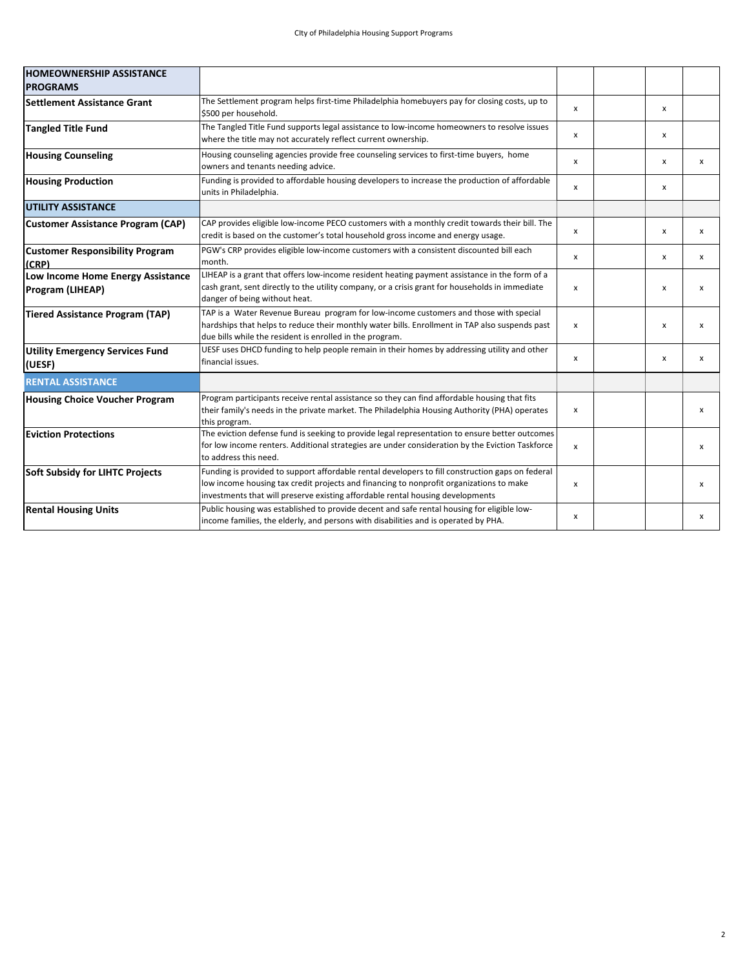| <b>HOMEOWNERSHIP ASSISTANCE</b>                       |                                                                                                                                                                                                                                                                               |              |  |                           |                           |
|-------------------------------------------------------|-------------------------------------------------------------------------------------------------------------------------------------------------------------------------------------------------------------------------------------------------------------------------------|--------------|--|---------------------------|---------------------------|
| <b>PROGRAMS</b>                                       |                                                                                                                                                                                                                                                                               |              |  |                           |                           |
| <b>Settlement Assistance Grant</b>                    | The Settlement program helps first-time Philadelphia homebuyers pay for closing costs, up to<br>\$500 per household.                                                                                                                                                          | x            |  | x                         |                           |
| <b>Tangled Title Fund</b>                             | The Tangled Title Fund supports legal assistance to low-income homeowners to resolve issues<br>where the title may not accurately reflect current ownership.                                                                                                                  | x            |  | x                         |                           |
| <b>Housing Counseling</b>                             | Housing counseling agencies provide free counseling services to first-time buyers, home<br>owners and tenants needing advice.                                                                                                                                                 | x            |  | x                         | x                         |
| <b>Housing Production</b>                             | Funding is provided to affordable housing developers to increase the production of affordable<br>units in Philadelphia.                                                                                                                                                       | x            |  | x                         |                           |
| <b>UTILITY ASSISTANCE</b>                             |                                                                                                                                                                                                                                                                               |              |  |                           |                           |
| <b>Customer Assistance Program (CAP)</b>              | CAP provides eligible low-income PECO customers with a monthly credit towards their bill. The<br>credit is based on the customer's total household gross income and energy usage.                                                                                             | $\mathsf{x}$ |  | $\boldsymbol{x}$          | $\boldsymbol{\mathsf{x}}$ |
| <b>Customer Responsibility Program</b><br>(CRP)       | PGW's CRP provides eligible low-income customers with a consistent discounted bill each<br>month.                                                                                                                                                                             | $\mathsf{x}$ |  | $\boldsymbol{\mathsf{x}}$ | $\boldsymbol{\mathsf{x}}$ |
| Low Income Home Energy Assistance<br>Program (LIHEAP) | LIHEAP is a grant that offers low-income resident heating payment assistance in the form of a<br>cash grant, sent directly to the utility company, or a crisis grant for households in immediate<br>danger of being without heat.                                             | $\mathsf{x}$ |  | $\boldsymbol{\mathsf{x}}$ | $\boldsymbol{\mathsf{x}}$ |
| <b>Tiered Assistance Program (TAP)</b>                | TAP is a Water Revenue Bureau program for low-income customers and those with special<br>hardships that helps to reduce their monthly water bills. Enrollment in TAP also suspends past<br>due bills while the resident is enrolled in the program.                           | $\mathsf{x}$ |  | $\boldsymbol{\mathsf{x}}$ | $\boldsymbol{\mathsf{x}}$ |
| <b>Utility Emergency Services Fund</b><br>(UESF)      | UESF uses DHCD funding to help people remain in their homes by addressing utility and other<br>financial issues.                                                                                                                                                              | x            |  | x                         | x                         |
| <b>RENTAL ASSISTANCE</b>                              |                                                                                                                                                                                                                                                                               |              |  |                           |                           |
| <b>Housing Choice Voucher Program</b>                 | Program participants receive rental assistance so they can find affordable housing that fits<br>their family's needs in the private market. The Philadelphia Housing Authority (PHA) operates<br>this program.                                                                |              |  |                           | $\boldsymbol{\mathsf{x}}$ |
| <b>Eviction Protections</b>                           | The eviction defense fund is seeking to provide legal representation to ensure better outcomes<br>for low income renters. Additional strategies are under consideration by the Eviction Taskforce<br>to address this need.                                                    | $\mathsf{x}$ |  |                           | $\boldsymbol{\mathsf{x}}$ |
| <b>Soft Subsidy for LIHTC Projects</b>                | Funding is provided to support affordable rental developers to fill construction gaps on federal<br>low income housing tax credit projects and financing to nonprofit organizations to make<br>investments that will preserve existing affordable rental housing developments | $\mathsf{x}$ |  |                           | $\boldsymbol{\mathsf{x}}$ |
| <b>Rental Housing Units</b>                           | Public housing was established to provide decent and safe rental housing for eligible low-<br>income families, the elderly, and persons with disabilities and is operated by PHA.                                                                                             | x            |  |                           | $\boldsymbol{\mathsf{x}}$ |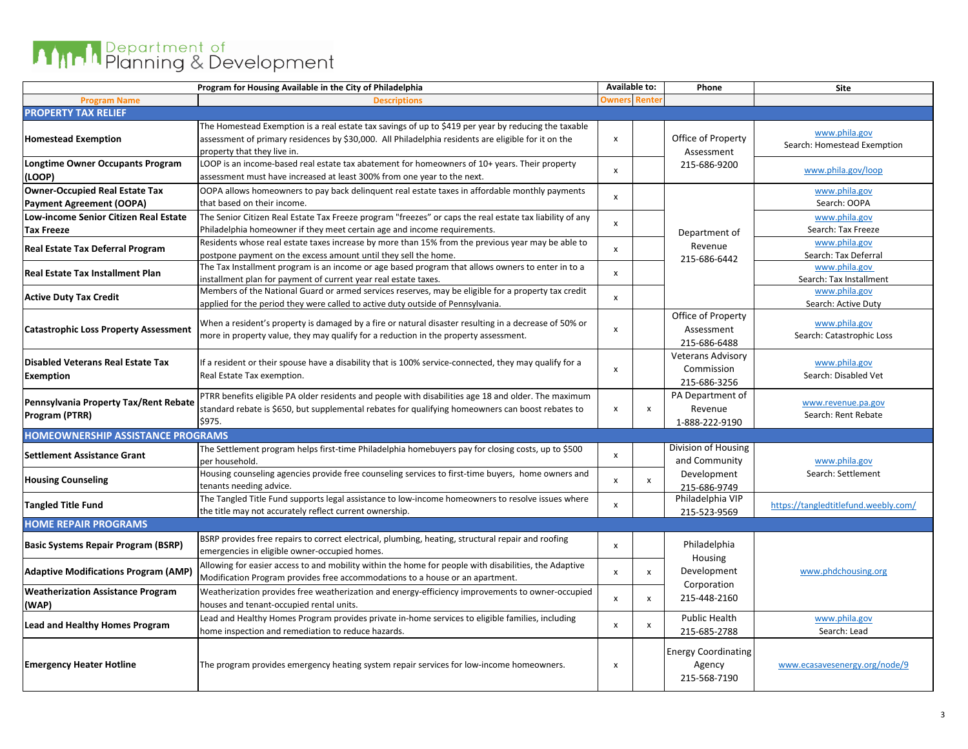## **AMPIA** Planning & Development

|                                                              | Program for Housing Available in the City of Philadelphia                                                                                                                                                                                  | Available to:             |              | Phone                                                  | Site                                         |  |
|--------------------------------------------------------------|--------------------------------------------------------------------------------------------------------------------------------------------------------------------------------------------------------------------------------------------|---------------------------|--------------|--------------------------------------------------------|----------------------------------------------|--|
| <b>Program Name</b>                                          | <b>Descriptions</b>                                                                                                                                                                                                                        | <b>Owners</b>             | Rente        |                                                        |                                              |  |
| <b>PROPERTY TAX RELIEF</b>                                   |                                                                                                                                                                                                                                            |                           |              |                                                        |                                              |  |
| <b>Homestead Exemption</b>                                   | The Homestead Exemption is a real estate tax savings of up to \$419 per year by reducing the taxable<br>assessment of primary residences by \$30,000. All Philadelphia residents are eligible for it on the<br>property that they live in. | X                         |              | Office of Property<br>Assessment                       | www.phila.gov<br>Search: Homestead Exemption |  |
| <b>Longtime Owner Occupants Program</b><br>(LOOP)            | LOOP is an income-based real estate tax abatement for homeowners of 10+ years. Their property<br>assessment must have increased at least 300% from one year to the next.                                                                   | $\boldsymbol{\mathsf{x}}$ |              | 215-686-9200                                           | www.phila.gov/loop                           |  |
| <b>Owner-Occupied Real Estate Tax</b>                        | OOPA allows homeowners to pay back delinguent real estate taxes in affordable monthly payments                                                                                                                                             | X                         |              |                                                        | www.phila.gov                                |  |
| <b>Payment Agreement (OOPA)</b>                              | that based on their income.                                                                                                                                                                                                                |                           |              |                                                        | Search: OOPA                                 |  |
| Low-income Senior Citizen Real Estate                        | The Senior Citizen Real Estate Tax Freeze program "freezes" or caps the real estate tax liability of any                                                                                                                                   | $\boldsymbol{\mathsf{x}}$ |              |                                                        | www.phila.gov                                |  |
| Tax Freeze                                                   | Philadelphia homeowner if they meet certain age and income requirements.                                                                                                                                                                   |                           |              | Department of                                          | Search: Tax Freeze                           |  |
| Real Estate Tax Deferral Program                             | Residents whose real estate taxes increase by more than 15% from the previous year may be able to<br>postpone payment on the excess amount until they sell the home.                                                                       | $\pmb{\times}$            |              | Revenue<br>215-686-6442                                | www.phila.gov<br>Search: Tax Deferral        |  |
| <b>Real Estate Tax Installment Plan</b>                      | The Tax Installment program is an income or age based program that allows owners to enter in to a<br>installment plan for payment of current year real estate taxes.                                                                       | $\pmb{\times}$            |              |                                                        | www.phila.gov<br>Search: Tax Installment     |  |
| <b>Active Duty Tax Credit</b>                                | Members of the National Guard or armed services reserves, may be eligible for a property tax credit<br>applied for the period they were called to active duty outside of Pennsylvania.                                                     | $\pmb{\times}$            |              |                                                        | www.phila.gov<br>Search: Active Duty         |  |
| <b>Catastrophic Loss Property Assessment</b>                 | When a resident's property is damaged by a fire or natural disaster resulting in a decrease of 50% or<br>more in property value, they may qualify for a reduction in the property assessment.                                              | $\boldsymbol{\mathsf{x}}$ |              | Office of Property<br>Assessment<br>215-686-6488       | www.phila.gov<br>Search: Catastrophic Loss   |  |
| <b>Disabled Veterans Real Estate Tax</b><br><b>Exemption</b> | If a resident or their spouse have a disability that is 100% service-connected, they may qualify for a<br>Real Estate Tax exemption.                                                                                                       | $\mathsf{x}$              |              | <b>Veterans Advisory</b><br>Commission<br>215-686-3256 | www.phila.gov<br>Search: Disabled Vet        |  |
| Pennsylvania Property Tax/Rent Rebate<br>Program (PTRR)      | PTRR benefits eligible PA older residents and people with disabilities age 18 and older. The maximum<br>standard rebate is \$650, but supplemental rebates for qualifying homeowners can boost rebates to<br>\$975.                        | X                         | X            | PA Department of<br>Revenue<br>1-888-222-9190          | www.revenue.pa.gov<br>Search: Rent Rebate    |  |
| <b>HOMEOWNERSHIP ASSISTANCE PROGRAMS</b>                     |                                                                                                                                                                                                                                            |                           |              |                                                        |                                              |  |
| <b>Settlement Assistance Grant</b>                           | The Settlement program helps first-time Philadelphia homebuyers pay for closing costs, up to \$500<br>per household.                                                                                                                       | X                         |              | Division of Housing<br>and Community                   | www.phila.gov                                |  |
| <b>Housing Counseling</b>                                    | Housing counseling agencies provide free counseling services to first-time buyers, home owners and<br>tenants needing advice.                                                                                                              | $\boldsymbol{\mathsf{x}}$ | X            | Development<br>215-686-9749                            | Search: Settlement                           |  |
| <b>Tangled Title Fund</b>                                    | The Tangled Title Fund supports legal assistance to low-income homeowners to resolve issues where<br>the title may not accurately reflect current ownership.                                                                               | $\pmb{\times}$            |              | Philadelphia VIP<br>215-523-9569                       | https://tangledtitlefund.weebly.com/         |  |
| <b>HOME REPAIR PROGRAMS</b>                                  |                                                                                                                                                                                                                                            |                           |              |                                                        |                                              |  |
| <b>Basic Systems Repair Program (BSRP)</b>                   | BSRP provides free repairs to correct electrical, plumbing, heating, structural repair and roofing<br>emergencies in eligible owner-occupied homes.                                                                                        | $\boldsymbol{\mathsf{x}}$ |              | Philadelphia                                           |                                              |  |
| <b>Adaptive Modifications Program (AMP)</b>                  | Allowing for easier access to and mobility within the home for people with disabilities, the Adaptive<br>Modification Program provides free accommodations to a house or an apartment.                                                     | $\pmb{\times}$            | x            | Housing<br>Development                                 | www.phdchousing.org                          |  |
| <b>Weatherization Assistance Program</b><br>(WAP)            | Weatherization provides free weatherization and energy-efficiency improvements to owner-occupied<br>houses and tenant-occupied rental units.                                                                                               | $\boldsymbol{\mathsf{x}}$ | $\mathsf{x}$ | Corporation<br>215-448-2160                            |                                              |  |
| <b>Lead and Healthy Homes Program</b>                        | Lead and Healthy Homes Program provides private in-home services to eligible families, including<br>home inspection and remediation to reduce hazards.                                                                                     | x                         | x            | <b>Public Health</b><br>215-685-2788                   | www.phila.gov<br>Search: Lead                |  |
| <b>Emergency Heater Hotline</b>                              | The program provides emergency heating system repair services for low-income homeowners.                                                                                                                                                   | X                         |              | <b>Energy Coordinating</b><br>Agency<br>215-568-7190   | www.ecasavesenergy.org/node/9                |  |